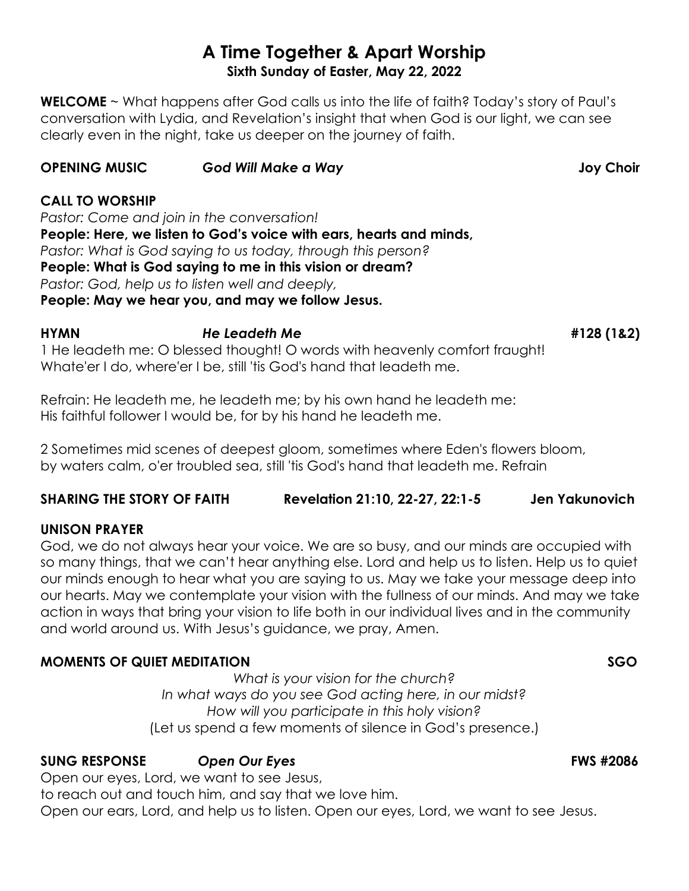# **A Time Together & Apart Worship Sixth Sunday of Easter, May 22, 2022**

**WELCOME** ~ What happens after God calls us into the life of faith? Today's story of Paul's conversation with Lydia, and Revelation's insight that when God is our light, we can see clearly even in the night, take us deeper on the journey of faith.

# **OPENING MUSIC** *God Will Make a Way* **Joy Choir**

# **CALL TO WORSHIP**

*Pastor: Come and join in the conversation!* **People: Here, we listen to God's voice with ears, hearts and minds,** *Pastor: What is God saying to us today, through this person?* **People: What is God saying to me in this vision or dream?** *Pastor: God, help us to listen well and deeply,* **People: May we hear you, and may we follow Jesus.**

**HYMN** *He Leadeth Me* **#128 (1&2)** 1 He leadeth me: O blessed thought! O words with heavenly comfort fraught! Whate'er I do, where'er I be, still 'tis God's hand that leadeth me.

Refrain: He leadeth me, he leadeth me; by his own hand he leadeth me: His faithful follower I would be, for by his hand he leadeth me.

2 Sometimes mid scenes of deepest gloom, sometimes where Eden's flowers bloom, by waters calm, o'er troubled sea, still 'tis God's hand that leadeth me. Refrain

**SHARING THE STORY OF FAITH Revelation 21:10, 22-27, 22:1-5 Jen Yakunovich**

## **UNISON PRAYER**

God, we do not always hear your voice. We are so busy, and our minds are occupied with so many things, that we can't hear anything else. Lord and help us to listen. Help us to quiet our minds enough to hear what you are saying to us. May we take your message deep into our hearts. May we contemplate your vision with the fullness of our minds. And may we take action in ways that bring your vision to life both in our individual lives and in the community and world around us. With Jesus's guidance, we pray, Amen.

# **MOMENTS OF QUIET MEDITATION SGO**

*What is your vision for the church? In what ways do you see God acting here, in our midst? How will you participate in this holy vision?* (Let us spend a few moments of silence in God's presence.)

# **SUNG RESPONSE Open Our Eyes <b>FWS #2086**

Open our eyes, Lord, we want to see Jesus,

to reach out and touch him, and say that we love him.

Open our ears, Lord, and help us to listen. Open our eyes, Lord, we want to see Jesus.